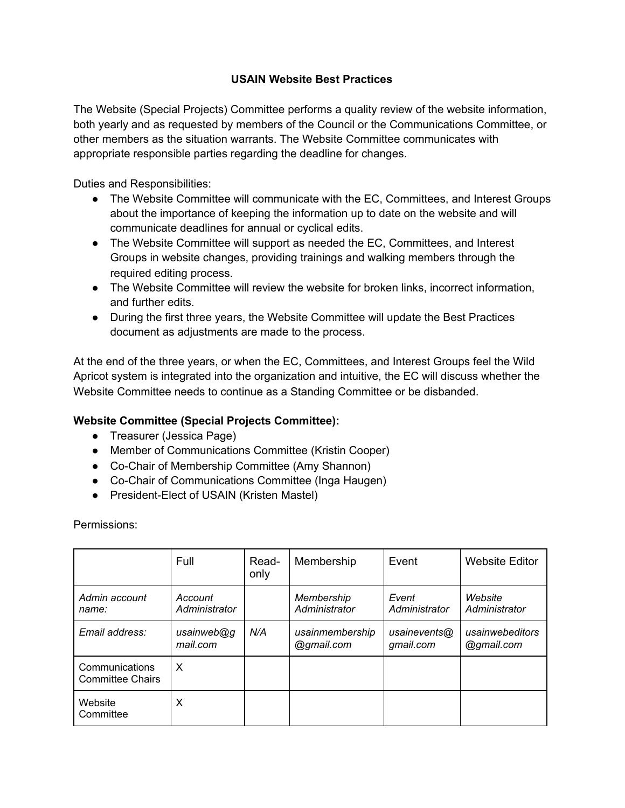# **USAIN Website Best Practices**

The Website (Special Projects) Committee performs a quality review of the website information, both yearly and as requested by members of the Council or the Communications Committee, or other members as the situation warrants. The Website Committee communicates with appropriate responsible parties regarding the deadline for changes.

Duties and Responsibilities:

- The Website Committee will communicate with the EC, Committees, and Interest Groups about the importance of keeping the information up to date on the website and will communicate deadlines for annual or cyclical edits.
- The Website Committee will support as needed the EC, Committees, and Interest Groups in website changes, providing trainings and walking members through the required editing process.
- The Website Committee will review the website for broken links, incorrect information, and further edits.
- During the first three years, the Website Committee will update the Best Practices document as adjustments are made to the process.

At the end of the three years, or when the EC, Committees, and Interest Groups feel the Wild Apricot system is integrated into the organization and intuitive, the EC will discuss whether the Website Committee needs to continue as a Standing Committee or be disbanded.

# **Website Committee (Special Projects Committee):**

- Treasurer (Jessica Page)
- Member of Communications Committee (Kristin Cooper)
- Co-Chair of Membership Committee (Amy Shannon)
- Co-Chair of Communications Committee (Inga Haugen)
- President-Elect of USAIN (Kristen Mastel)

Permissions:

|                                           | <b>Full</b>              | Read-<br>only | Membership                    | Event                     | <b>Website Editor</b>         |
|-------------------------------------------|--------------------------|---------------|-------------------------------|---------------------------|-------------------------------|
| Admin account<br>name:                    | Account<br>Administrator |               | Membership<br>Administrator   | Event<br>Administrator    | Website<br>Administrator      |
| Email address:                            | usainweb@g<br>mail.com   | N/A           | usainmembership<br>@gmail.com | usainevents@<br>gmail.com | usainwebeditors<br>@gmail.com |
| Communications<br><b>Committee Chairs</b> | X                        |               |                               |                           |                               |
| Website<br>Committee                      | X                        |               |                               |                           |                               |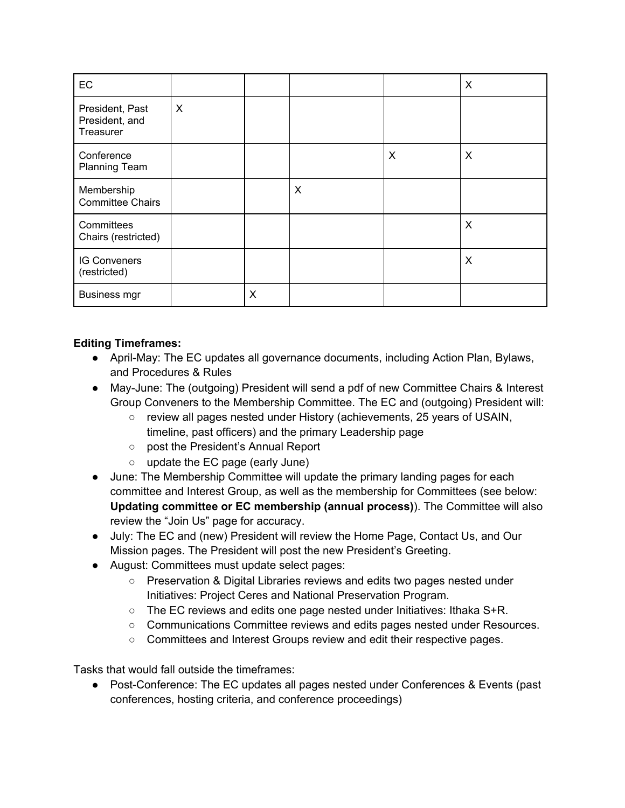| EC                                             |                           |   |   |   | X |
|------------------------------------------------|---------------------------|---|---|---|---|
| President, Past<br>President, and<br>Treasurer | $\boldsymbol{\mathsf{X}}$ |   |   |   |   |
| Conference<br><b>Planning Team</b>             |                           |   |   | X | X |
| Membership<br><b>Committee Chairs</b>          |                           |   | X |   |   |
| Committees<br>Chairs (restricted)              |                           |   |   |   | X |
| <b>IG Conveners</b><br>(restricted)            |                           |   |   |   | X |
| <b>Business mgr</b>                            |                           | X |   |   |   |

# **Editing Timeframes:**

- April-May: The EC updates all governance documents, including Action Plan, Bylaws, and Procedures & Rules
- May-June: The (outgoing) President will send a pdf of new Committee Chairs & Interest Group Conveners to the Membership Committee. The EC and (outgoing) President will:
	- $\circ$  review all pages nested under History (achievements, 25 years of USAIN, timeline, past officers) and the primary Leadership page
	- post the President's Annual Report
	- update the EC page (early June)
- June: The Membership Committee will update the primary landing pages for each committee and Interest Group, as well as the membership for Committees (see below: **Updating committee or EC membership (annual process)**). The Committee will also review the "Join Us" page for accuracy.
- July: The EC and (new) President will review the Home Page, Contact Us, and Our Mission pages. The President will post the new President's Greeting.
- August: Committees must update select pages:
	- Preservation & Digital Libraries reviews and edits two pages nested under Initiatives: Project Ceres and National Preservation Program.
	- The EC reviews and edits one page nested under Initiatives: Ithaka S+R.
	- Communications Committee reviews and edits pages nested under Resources.
	- Committees and Interest Groups review and edit their respective pages.

Tasks that would fall outside the timeframes:

● Post-Conference: The EC updates all pages nested under Conferences & Events (past conferences, hosting criteria, and conference proceedings)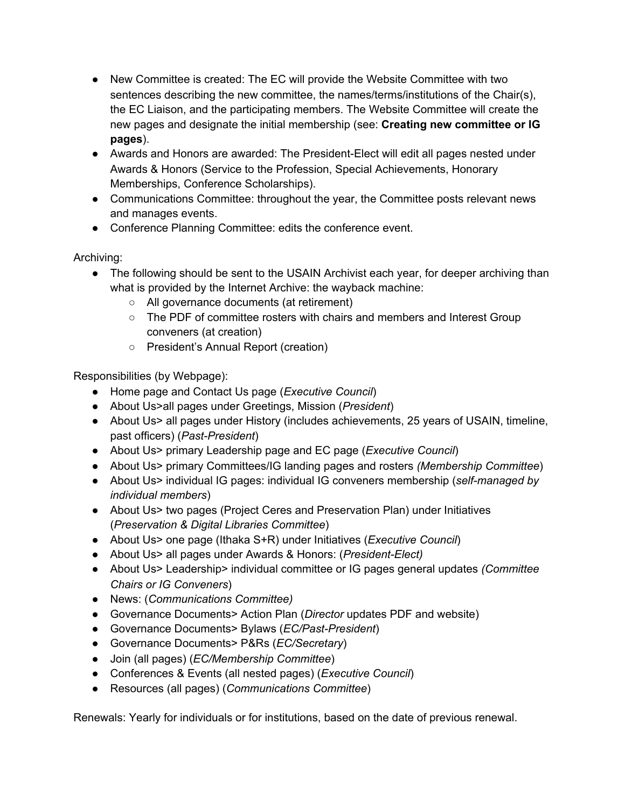- New Committee is created: The EC will provide the Website Committee with two sentences describing the new committee, the names/terms/institutions of the Chair(s), the EC Liaison, and the participating members. The Website Committee will create the new pages and designate the initial membership (see: **Creating new committee or IG pages**).
- Awards and Honors are awarded: The President-Elect will edit all pages nested under Awards & Honors (Service to the Profession, Special Achievements, Honorary Memberships, Conference Scholarships).
- Communications Committee: throughout the year, the Committee posts relevant news and manages events.
- Conference Planning Committee: edits the conference event.

Archiving:

- The following should be sent to the USAIN Archivist each year, for deeper archiving than what is provided by the Internet Archive: the wayback machine:
	- All governance documents (at retirement)
	- The PDF of committee rosters with chairs and members and Interest Group conveners (at creation)
	- President's Annual Report (creation)

Responsibilities (by Webpage):

- Home page and Contact Us page (*Executive Council*)
- About Us>all pages under Greetings, Mission (*President*)
- About Us> all pages under History (includes achievements, 25 years of USAIN, timeline, past officers) (*Past-President*)
- About Us> primary Leadership page and EC page (*Executive Council*)
- About Us> primary Committees/IG landing pages and rosters *(Membership Committee*)
- About Us> individual IG pages: individual IG conveners membership (*self-managed by individual members*)
- About Us> two pages (Project Ceres and Preservation Plan) under Initiatives (*Preservation & Digital Libraries Committee*)
- About Us> one page (Ithaka S+R) under Initiatives (*Executive Council*)
- About Us> all pages under Awards & Honors: (*President-Elect)*
- About Us> Leadership> individual committee or IG pages general updates *(Committee Chairs or IG Conveners*)
- News: (*Communications Committee)*
- Governance Documents> Action Plan (*Director* updates PDF and website)
- Governance Documents> Bylaws (*EC/Past-President*)
- Governance Documents> P&Rs (*EC/Secretary*)
- Join (all pages) (*EC/Membership Committee*)
- Conferences & Events (all nested pages) (*Executive Council*)
- Resources (all pages) (*Communications Committee*)

Renewals: Yearly for individuals or for institutions, based on the date of previous renewal.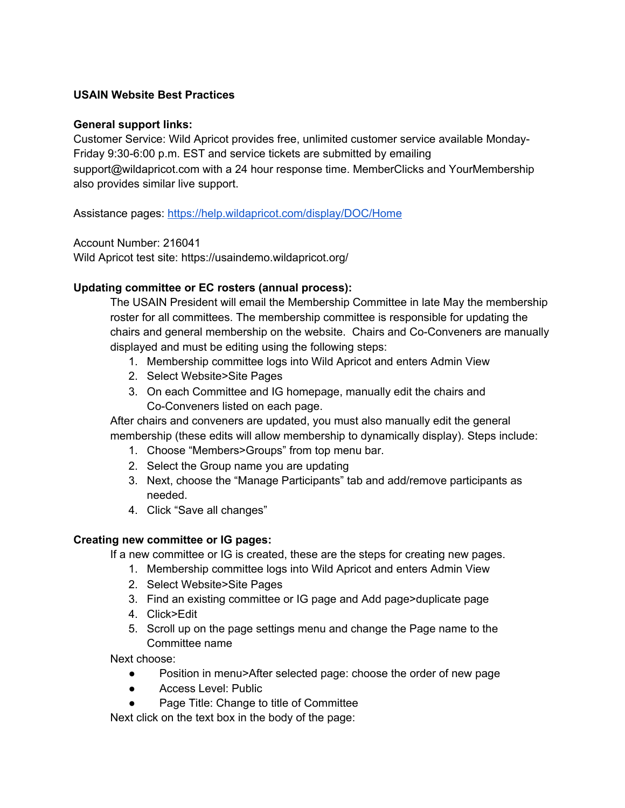# **USAIN Website Best Practices**

#### **General support links:**

Customer Service: Wild Apricot provides free, unlimited customer service available Monday-Friday 9:30-6:00 p.m. EST and service tickets are submitted by emailing support@wildapricot.com with a 24 hour response time. MemberClicks and YourMembership also provides similar live support.

Assistance pages: <https://help.wildapricot.com/display/DOC/Home>

Account Number: 216041

Wild Apricot test site: https://usaindemo.wildapricot.org/

### **Updating committee or EC rosters (annual process):**

The USAIN President will email the Membership Committee in late May the membership roster for all committees. The membership committee is responsible for updating the chairs and general membership on the website. Chairs and Co-Conveners are manually displayed and must be editing using the following steps:

- 1. Membership committee logs into Wild Apricot and enters Admin View
- 2. Select Website>Site Pages
- 3. On each Committee and IG homepage, manually edit the chairs and Co-Conveners listed on each page.

After chairs and conveners are updated, you must also manually edit the general membership (these edits will allow membership to dynamically display). Steps include:

- 1. Choose "Members>Groups" from top menu bar.
- 2. Select the Group name you are updating
- 3. Next, choose the "Manage Participants" tab and add/remove participants as needed.
- 4. Click "Save all changes"

### **Creating new committee or IG pages:**

If a new committee or IG is created, these are the steps for creating new pages.

- 1. Membership committee logs into Wild Apricot and enters Admin View
- 2. Select Website>Site Pages
- 3. Find an existing committee or IG page and Add page>duplicate page
- 4. Click>Edit
- 5. Scroll up on the page settings menu and change the Page name to the Committee name

Next choose:

- Position in menu>After selected page: choose the order of new page
- Access Level: Public
- Page Title: Change to title of Committee

Next click on the text box in the body of the page: